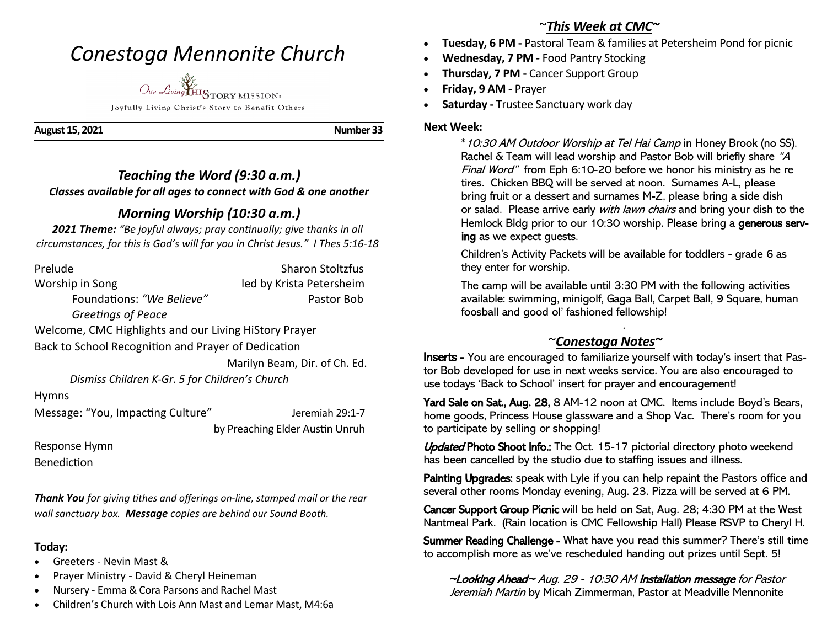# *Conestoga Mennonite Church*



Joyfully Living Christ's Story to Benefit Others

**August 15, 2021 Number 33** 

## *Teaching the Word (9:30 a.m.) Classes available for all ages to connect with God & one another*

## *Morning Worship (10:30 a.m.)*

*2021 Theme: "Be joyful always; pray continually; give thanks in all circumstances, for this is God's will for you in Christ Jesus." I Thes 5:16-18*

| Prelude                                               | <b>Sharon Stoltzfus</b>         |
|-------------------------------------------------------|---------------------------------|
| Worship in Song                                       | led by Krista Petersheim        |
| Foundations: "We Believe"                             | Pastor Bob                      |
| Greetings of Peace                                    |                                 |
| Welcome, CMC Highlights and our Living HiStory Prayer |                                 |
| Back to School Recognition and Prayer of Dedication   |                                 |
|                                                       | Marilyn Beam, Dir. of Ch. Ed.   |
| Dismiss Children K-Gr. 5 for Children's Church        |                                 |
| <b>Hymns</b>                                          |                                 |
| Message: "You, Impacting Culture"                     | Jeremiah 29:1-7                 |
|                                                       | by Preaching Elder Austin Unruh |
| Response Hymn                                         |                                 |
| Benediction                                           |                                 |

*Thank You for giving tithes and offerings on-line, stamped mail or the rear wall sanctuary box. Message copies are behind our Sound Booth.*

#### **Today:**

- Greeters Nevin Mast &
- Prayer Ministry David & Cheryl Heineman
- Nursery Emma & Cora Parsons and Rachel Mast
- Children's Church with Lois Ann Mast and Lemar Mast, M4:6a

## ~*This Week at CMC~*

- **Tuesday, 6 PM -** Pastoral Team & families at Petersheim Pond for picnic
- **Wednesday, 7 PM -** Food Pantry Stocking
- **Thursday, 7 PM -** Cancer Support Group
- **Friday, 9 AM -** Prayer
- **Saturday -** Trustee Sanctuary work day

#### **Next Week:**

 \*10:30 AM Outdoor Worship at Tel Hai Camp in Honey Brook (no SS). Rachel & Team will lead worship and Pastor Bob will briefly share "A Final Word" from Eph 6:10-20 before we honor his ministry as he re tires. Chicken BBQ will be served at noon. Surnames A-L, please bring fruit or a dessert and surnames M-Z, please bring a side dish or salad. Please arrive early with lawn chairs and bring your dish to the Hemlock Bldg prior to our 10:30 worship. Please bring a generous serving as we expect guests.

Children's Activity Packets will be available for toddlers - grade 6 as they enter for worship.

The camp will be available until 3:30 PM with the following activities available: swimming, minigolf, Gaga Ball, Carpet Ball, 9 Square, human foosball and good ol' fashioned fellowship!

### ~*Conestoga Notes~*

.

Inserts - You are encouraged to familiarize yourself with today's insert that Pastor Bob developed for use in next weeks service. You are also encouraged to use todays 'Back to School' insert for prayer and encouragement!

Yard Sale on Sat., Aug. 28, 8 AM-12 noon at CMC. Items include Boyd's Bears, home goods, Princess House glassware and a Shop Vac. There's room for you to participate by selling or shopping!

Updated Photo Shoot Info.: The Oct. 15-17 pictorial directory photo weekend has been cancelled by the studio due to staffing issues and illness.

Painting Upgrades: speak with Lyle if you can help repaint the Pastors office and several other rooms Monday evening, Aug. 23. Pizza will be served at 6 PM.

Cancer Support Group Picnic will be held on Sat, Aug. 28; 4:30 PM at the West Nantmeal Park. (Rain location is CMC Fellowship Hall) Please RSVP to Cheryl H.

Summer Reading Challenge - What have you read this summer? There's still time to accomplish more as we've rescheduled handing out prizes until Sept. 5!

~Looking Ahead~ Aug. 29 - 10:30 AM Installation message for Pastor Jeremiah Martin by Micah Zimmerman, Pastor at Meadville Mennonite